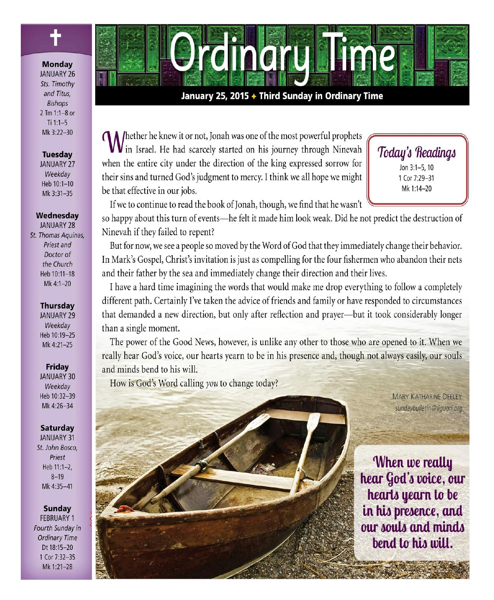

### **Monday**

**JANUARY 26** Sts. Timothy and Titus, **Bishops** 2 Tm 1:1-8 or  $Ti 1:1-5$ Mk 3:22-30

### **Tuesday**

**JANUARY 27** Weekdav Heb 10:1-10 Mk 3:31-35

### Wednesdav

**JANUARY 28** St. Thomas Aquinas, Priest and Doctor of the Church Heb 10:11-18 Mk 4:1-20

### **Thursday**

**JANUARY 29** Weekdav Heb 10:19-25 Mk 4:21-25

### Friday

**JANUARY 30** Weekday Heb 10:32-39 Mk 4:26-34

### **Saturday**

**JANUARY 31** St. John Bosco. Priest Heb 11:1-2,  $8 - 19$ Mk 4:35-41

### **Sunday**

**FEBRUARY 1** Fourth Sunday in **Ordinary Time** Dt 18:15-20 1 Cor 7:32-35 Mk 1:21-28



### January 25, 2015 + Third Sunday in Ordinary Time

A /hether he knew it or not, Jonah was one of the most powerful prophets V in Israel. He had scarcely started on his journey through Ninevah when the entire city under the direction of the king expressed sorrow for their sins and turned God's judgment to mercy. I think we all hope we might be that effective in our jobs.

# Today's Readings Jon 3:1-5, 10 1 Cor 7:29-31 Mk 1:14-20

If we to continue to read the book of Jonah, though, we find that he wasn't

so happy about this turn of events—he felt it made him look weak. Did he not predict the destruction of Ninevah if they failed to repent?

But for now, we see a people so moved by the Word of God that they immediately change their behavior. In Mark's Gospel, Christ's invitation is just as compelling for the four fishermen who abandon their nets and their father by the sea and immediately change their direction and their lives.

I have a hard time imagining the words that would make me drop everything to follow a completely different path. Certainly I've taken the advice of friends and family or have responded to circumstances that demanded a new direction, but only after reflection and prayer-but it took considerably longer than a single moment.

The power of the Good News, however, is unlike any other to those who are opened to it. When we really hear God's voice, our hearts yearn to be in his presence and, though not always easily, our souls and minds bend to his will.

How is God's Word calling you to change today?



**MARY KATHARINE DEELEY** sundaybulletin@liquori.org

When we really hear God's voice, our hearts yearn to be in his presence, and our souls and minds bend to his will.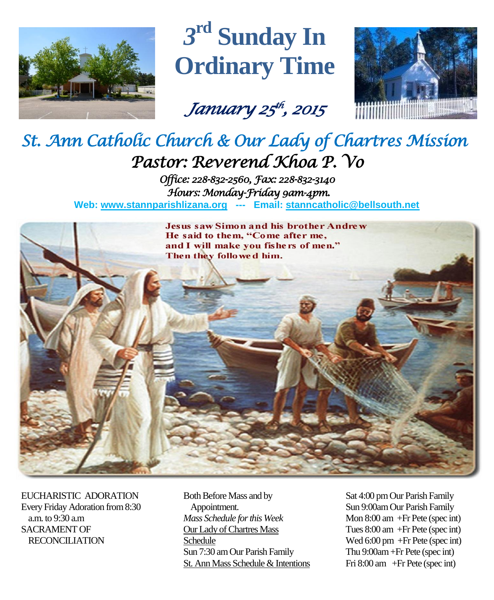

# *3* **rd Sunday In Ordinary Time**

*January 25 th , 2015* 



# *St. Ann Catholic Church & Our Lady of Chartres Mission Pastor: Reverend Khoa P. Vo*

*Office: 228-832-2560, Fax: 228-832-3140 Hours: Monday-Friday 9am-4pm.*  **Web: www.stannparishlizana.org --- Email: [stanncatholic@bellsouth.net](mailto:stanncatholic@bellsouth.net)**



EUCHARISTIC ADORATION Every Friday Adoration from 8:30 a.m. to 9:30 a.m SACRAMENT OF RECONCILIATION

Both Before Mass and by Appointment. *Mass Schedule for this Week*  Our Lady of Chartres Mass Schedule Sun 7:30 am Our Parish Family St. Ann Mass Schedule & Intentions Sat 4:00 pm Our Parish Family Sun 9:00am Our Parish Family Mon 8:00 am +Fr Pete (spec int) Tues 8:00 am +Fr Pete (spec int) Wed 6:00 pm +Fr Pete (spec int) Thu 9:00am+Fr Pete (spec int) Fri 8:00 am +Fr Pete (spec int)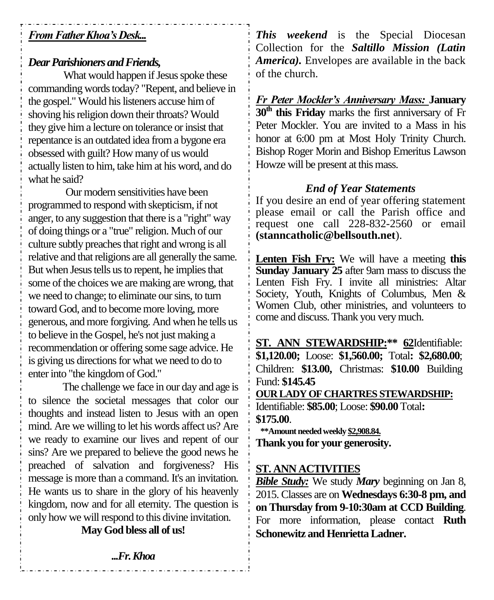# *From Father Khoa's Desk...*

# *Dear Parishioners and Friends,*

What would happen if Jesus spoke these commanding words today? "Repent, and believe in the gospel." Would his listeners accuse him of shoving his religion down their throats? Would they give him a lecture on tolerance or insist that repentance is an outdated idea from a bygone era obsessed with guilt? How many of us would actually listen to him, take him at his word, and do what he said?

Our modern sensitivities have been programmed to respond with skepticism, if not anger, to any suggestion that there is a "right" way of doing things or a "true" religion. Much of our culture subtly preaches that right and wrong is all relative and that religions are all generally the same. But when Jesus tells us to repent, he implies that some of the choices we are making are wrong, that we need to change; to eliminate our sins, to turn toward God, and to become more loving, more generous, and more forgiving. And when he tells us to believe in the Gospel, he's not just making a recommendation or offering some sage advice. He is giving us directions for what we need to do to enter into "the kingdom of God."

The challenge we face in our day and age is to silence the societal messages that color our thoughts and instead listen to Jesus with an open mind. Are we willing to let his words affect us? Are we ready to examine our lives and repent of our sins? Are we prepared to believe the good news he preached of salvation and forgiveness? His message is more than a command. It's an invitation. He wants us to share in the glory of his heavenly kingdom, now and for all eternity. The question is only how we will respond to this divine invitation.

**May God bless all of us!**

*This weekend* is the Special Diocesan Collection for the *Saltillo Mission (Latin America).* Envelopes are available in the back of the church.

*Fr Peter Mockler's Anniversary Mass:* **January 30th this Friday** marks the first anniversary of Fr Peter Mockler. You are invited to a Mass in his honor at 6:00 pm at Most Holy Trinity Church. Bishop Roger Morin and Bishop Emeritus Lawson Howze will be present at this mass.

# *End of Year Statements*

If you desire an end of year offering statement please email or call the Parish office and request one call 228-832-2560 or email **[\(stanncatholic@bellsouth.net](mailto:stanncatholic@bellsouth.net)**).

**Lenten Fish Fry:** We will have a meeting **this Sunday January 25** after 9am mass to discuss the Lenten Fish Fry. I invite all ministries: Altar Society, Youth, Knights of Columbus, Men & Women Club, other ministries, and volunteers to come and discuss. Thank you very much.

**ST. ANN STEWARDSHIP:\*\* 62**Identifiable: **\$1,120.00;** Loose: **\$1,560.00;** Total**: \$2,680.00**; Children: **\$13.00,** Christmas: **\$10.00** Building Fund: **\$145.45 OUR LADY OF CHARTRES STEWARDSHIP:** Identifiable: **\$85.00**; Loose: **\$90.00** Total**: \$175.00**.  **\*\*Amount needed weekly \$2,908.84. Thank you for your generosity.**

# **ST. ANN ACTIVITIES**

*Bible Study:* We study *Mary* beginning on Jan 8, 2015. Classes are on **Wednesdays 6:30-8 pm, and on Thursday from 9-10:30am at CCD Building**. For more information, please contact **Ruth Schonewitz and Henrietta Ladner.**